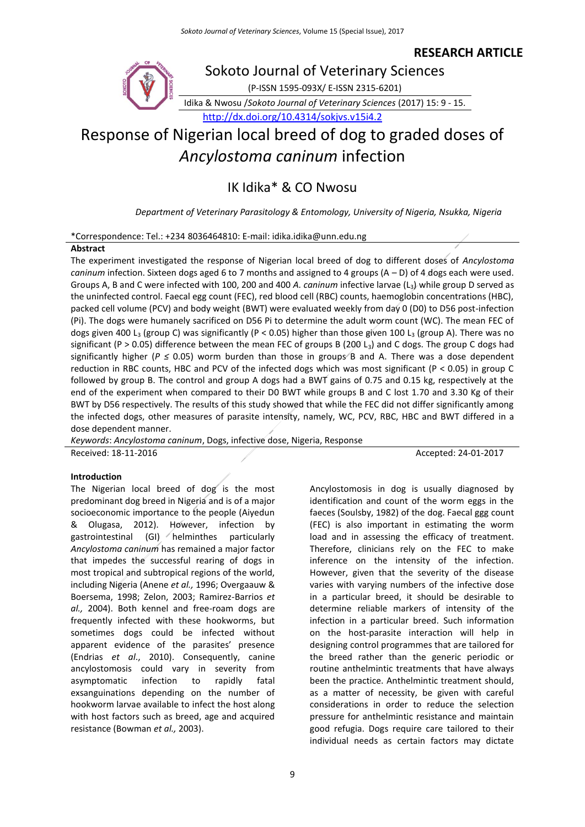# **RESEARCH ARTICLE**



*Ancylostoma caninum* infection

IK Idika\* & CO Nwosu

*Department of Veterinary Parasitology & Entomology, University of Nigeria, Nsukka, Nigeria*

\*Correspondence: Tel.: +234 8036464810: E-mail: idika.idika@unn.edu.ng

## **Abstract**

The experiment investigated the response of Nigerian local breed of dog to different doses of *Ancylostoma caninum* infection. Sixteen dogs aged 6 to 7 months and assigned to 4 groups (A – D) of 4 dogs each were used. Groups A, B and C were infected with 100, 200 and 400 *A. caninum* infective larvae (L3) while group D served as the uninfected control. Faecal egg count (FEC), red blood cell (RBC) counts, haemoglobin concentrations (HBC), packed cell volume (PCV) and body weight (BWT) were evaluated weekly from day 0 (D0) to D56 post-infection (Pi). The dogs were humanely sacrificed on D56 Pi to determine the adult worm count (WC). The mean FEC of dogs given 400 L<sub>3</sub> (group C) was significantly (P < 0.05) higher than those given 100 L<sub>3</sub> (group A). There was no significant (P > 0.05) difference between the mean FEC of groups B (200 L<sub>3</sub>) and C dogs. The group C dogs had significantly higher (*P* ≤ 0.05) worm burden than those in groups B and A. There was a dose dependent reduction in RBC counts, HBC and PCV of the infected dogs which was most significant (P < 0.05) in group C followed by group B. The control and group A dogs had a BWT gains of 0.75 and 0.15 kg, respectively at the end of the experiment when compared to their D0 BWT while groups B and C lost 1.70 and 3.30 Kg of their BWT by D56 respectively. The results of this study showed that while the FEC did not differ significantly among the infected dogs, other measures of parasite intensity, namely, WC, PCV, RBC, HBC and BWT differed in a dose dependent manner.

*Keywords*: *Ancylostoma caninum*, Dogs, infective dose, Nigeria, Response Received: 18-11-2016 **Accepted: 24-01-2017** 

## **Introduction**

The Nigerian local breed of dog is the most predominant dog breed in Nigeria and is of a major socioeconomic importance to the people (Aiyedun & Olugasa, 2012). However, infection by gastrointestinal  $(GI)$  helminthes particularly *Ancylostoma caninum* has remained a major factor that impedes the successful rearing of dogs in most tropical and subtropical regions of the world, including Nigeria (Anene *et al.,* 1996; Overgaauw & Boersema, 1998; Zelon, 2003; Ramirez-Barrios *et al.,* 2004). Both kennel and free-roam dogs are frequently infected with these hookworms, but sometimes dogs could be infected without apparent evidence of the parasites' presence (Endrias *et al*., 2010). Consequently, canine ancylostomosis could vary in severity from asymptomatic infection to rapidly fatal exsanguinations depending on the number of hookworm larvae available to infect the host along with host factors such as breed, age and acquired resistance (Bowman *et al.,* 2003).

identification and count of the worm eggs in the faeces (Soulsby, 1982) of the dog. Faecal ggg count (FEC) is also important in estimating the worm load and in assessing the efficacy of treatment. Therefore, clinicians rely on the FEC to make inference on the intensity of the infection. However, given that the severity of the disease varies with varying numbers of the infective dose in a particular breed, it should be desirable to determine reliable markers of intensity of the infection in a particular breed. Such information on the host-parasite interaction will help in designing control programmes that are tailored for the breed rather than the generic periodic or routine anthelmintic treatments that have always been the practice. Anthelmintic treatment should, as a matter of necessity, be given with careful considerations in order to reduce the selection pressure for anthelmintic resistance and maintain good refugia. Dogs require care tailored to their individual needs as certain factors may dictate

Ancylostomosis in dog is usually diagnosed by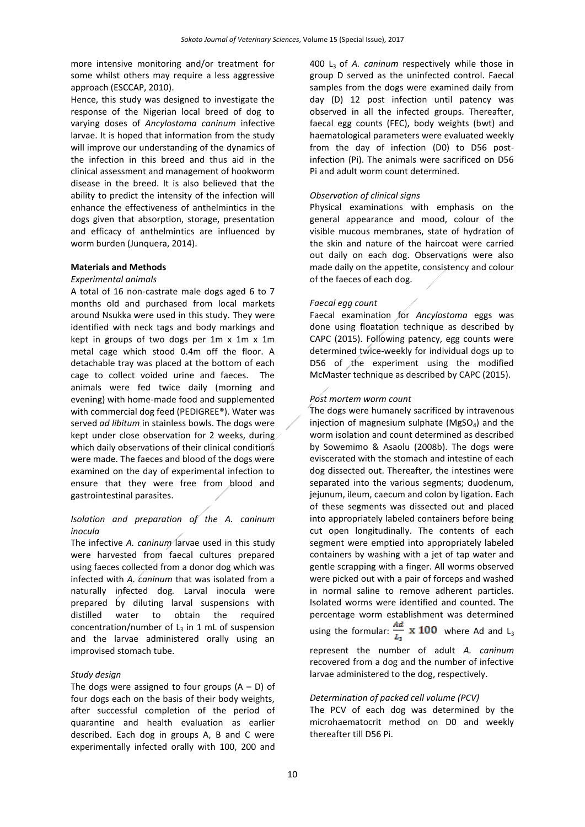more intensive monitoring and/or treatment for some whilst others may require a less aggressive approach (ESCCAP, 2010).

Hence, this study was designed to investigate the response of the Nigerian local breed of dog to varying doses of *Ancylostoma caninum* infective larvae. It is hoped that information from the study will improve our understanding of the dynamics of the infection in this breed and thus aid in the clinical assessment and management of hookworm disease in the breed. It is also believed that the ability to predict the intensity of the infection will enhance the effectiveness of anthelmintics in the dogs given that absorption, storage, presentation and efficacy of anthelmintics are influenced by worm burden (Junquera, 2014).

## **Materials and Methods**

### *Experimental animals*

A total of 16 non-castrate male dogs aged 6 to 7 months old and purchased from local markets around Nsukka were used in this study. They were identified with neck tags and body markings and kept in groups of two dogs per 1m x 1m x 1m metal cage which stood 0.4m off the floor. A detachable tray was placed at the bottom of each cage to collect voided urine and faeces. The animals were fed twice daily (morning and evening) with home-made food and supplemented with commercial dog feed (PEDIGREE®). Water was served *ad libitum* in stainless bowls. The dogs were kept under close observation for 2 weeks, during which daily observations of their clinical conditions were made. The faeces and blood of the dogs were examined on the day of experimental infection to ensure that they were free from blood and gastrointestinal parasites.

# *Isolation and preparation of the A. caninum inocula*

The infective *A. caninum* larvae used in this study were harvested from faecal cultures prepared using faeces collected from a donor dog which was infected with *A. caninum* that was isolated from a naturally infected dog*.* Larval inocula were prepared by diluting larval suspensions with distilled water to obtain the required concentration/number of  $L_3$  in 1 mL of suspension and the larvae administered orally using an improvised stomach tube.

## *Study design*

The dogs were assigned to four groups  $(A - D)$  of four dogs each on the basis of their body weights, after successful completion of the period of quarantine and health evaluation as earlier described. Each dog in groups A, B and C were experimentally infected orally with 100, 200 and

400 L3 of *A. caninum* respectively while those in group D served as the uninfected control. Faecal samples from the dogs were examined daily from day (D) 12 post infection until patency was observed in all the infected groups. Thereafter, faecal egg counts (FEC), body weights (bwt) and haematological parameters were evaluated weekly from the day of infection (D0) to D56 postinfection (Pi). The animals were sacrificed on D56 Pi and adult worm count determined.

## *Observation of clinical signs*

Physical examinations with emphasis on the general appearance and mood, colour of the visible mucous membranes, state of hydration of the skin and nature of the haircoat were carried out daily on each dog. Observations were also made daily on the appetite, consistency and colour of the faeces of each dog.

### *Faecal egg count*

Faecal examination for *Ancylostoma* eggs was done using floatation technique as described by CAPC (2015). Following patency, egg counts were determined twice-weekly for individual dogs up to D56 of the experiment using the modified McMaster technique as described by CAPC (2015).

### *Post mortem worm count*

The dogs were humanely sacrificed by intravenous injection of magnesium sulphate ( $MgSO<sub>4</sub>$ ) and the worm isolation and count determined as described by Sowemimo & Asaolu (2008b). The dogs were eviscerated with the stomach and intestine of each dog dissected out. Thereafter, the intestines were separated into the various segments; duodenum, jejunum, ileum, caecum and colon by ligation. Each of these segments was dissected out and placed into appropriately labeled containers before being cut open longitudinally. The contents of each segment were emptied into appropriately labeled containers by washing with a jet of tap water and gentle scrapping with a finger. All worms observed were picked out with a pair of forceps and washed in normal saline to remove adherent particles. Isolated worms were identified and counted. The percentage worm establishment was determined using the formular:  $\frac{Ad}{L_3}$  x 100 where Ad and L<sub>3</sub> represent the number of adult *A. caninum* recovered from a dog and the number of infective larvae administered to the dog, respectively.

#### *Determination of packed cell volume (PCV)*

The PCV of each dog was determined by the microhaematocrit method on D0 and weekly thereafter till D56 Pi.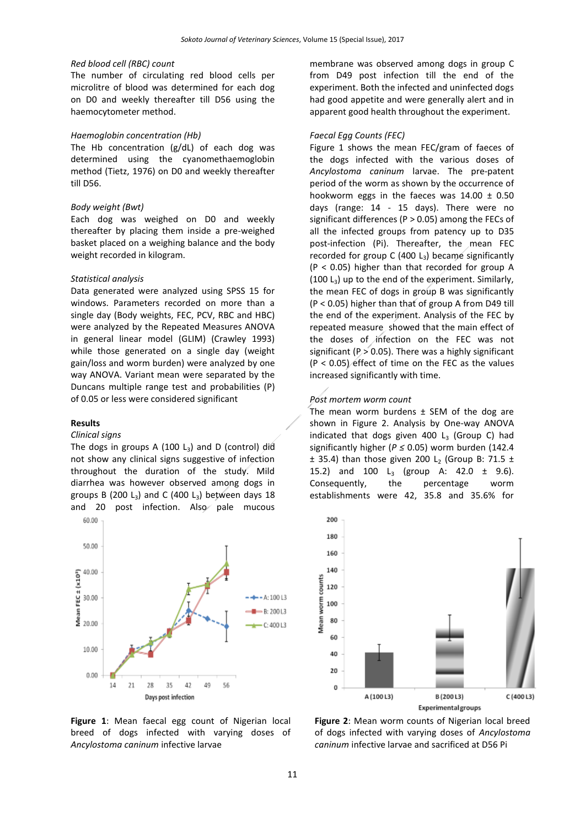#### *Red blood cell (RBC) count*

The number of circulating red blood cells per microlitre of blood was determined for each dog on D0 and weekly thereafter till D56 using the haemocytometer method.

## *Haemoglobin concentration (Hb)*

The Hb concentration (g/dL) of each dog was determined using the cyanomethaemoglobin method (Tietz, 1976) on D0 and weekly thereafter till D56.

#### *Body weight (Bwt)*

Each dog was weighed on D0 and weekly thereafter by placing them inside a pre-weighed basket placed on a weighing balance and the body weight recorded in kilogram.

### *Statistical analysis*

Data generated were analyzed using SPSS 15 for windows. Parameters recorded on more than a single day (Body weights, FEC, PCV, RBC and HBC) were analyzed by the Repeated Measures ANOVA in general linear model (GLIM) (Crawley 1993) while those generated on a single day (weight gain/loss and worm burden) were analyzed by one way ANOVA. Variant mean were separated by the Duncans multiple range test and probabilities (P) of 0.05 or less were considered significant

## **Results**

## *Clinical signs*

The dogs in groups A (100  $L_3$ ) and D (control) did not show any clinical signs suggestive of infection throughout the duration of the study. Mild diarrhea was however observed among dogs in groups B (200 L<sub>3</sub>) and C (400 L<sub>3</sub>) between days 18 and 20 post infection. Also pale mucous



**Figure 1**: Mean faecal egg count of Nigerian local breed of dogs infected with varying doses of *Ancylostoma caninum* infective larvae

membrane was observed among dogs in group C from D49 post infection till the end of the experiment. Both the infected and uninfected dogs had good appetite and were generally alert and in apparent good health throughout the experiment.

#### *Faecal Egg Counts (FEC)*

Figure 1 shows the mean FEC/gram of faeces of the dogs infected with the various doses of *Ancylostoma caninum* larvae. The pre-patent period of the worm as shown by the occurrence of hookworm eggs in the faeces was  $14.00 \pm 0.50$ days (range: 14 - 15 days). There were no significant differences (P > 0.05) among the FECs of all the infected groups from patency up to D35 post-infection (Pi). Thereafter, the mean FEC recorded for group C (400  $L_3$ ) became significantly (P < 0.05) higher than that recorded for group A  $(100 L<sub>3</sub>)$  up to the end of the experiment. Similarly, the mean FEC of dogs in group B was significantly (P < 0.05) higher than that of group A from D49 till the end of the experiment. Analysis of the FEC by repeated measure showed that the main effect of the doses of infection on the FEC was not significant ( $P > 0.05$ ). There was a highly significant (P < 0.05) effect of time on the FEC as the values increased significantly with time.

#### *Post mortem worm count*

The mean worm burdens  $\pm$  SEM of the dog are shown in Figure 2. Analysis by One-way ANOVA indicated that dogs given 400  $L_3$  (Group C) had significantly higher (*P ≤* 0.05) worm burden (142.4  $\pm$  35.4) than those given 200 L<sub>2</sub> (Group B: 71.5  $\pm$ 15.2) and 100  $L_3$  (group A: 42.0  $\pm$  9.6). Consequently, the percentage worm establishments were 42, 35.8 and 35.6% for



**Figure 2**: Mean worm counts of Nigerian local breed of dogs infected with varying doses of *Ancylostoma caninum* infective larvae and sacrificed at D56 Pi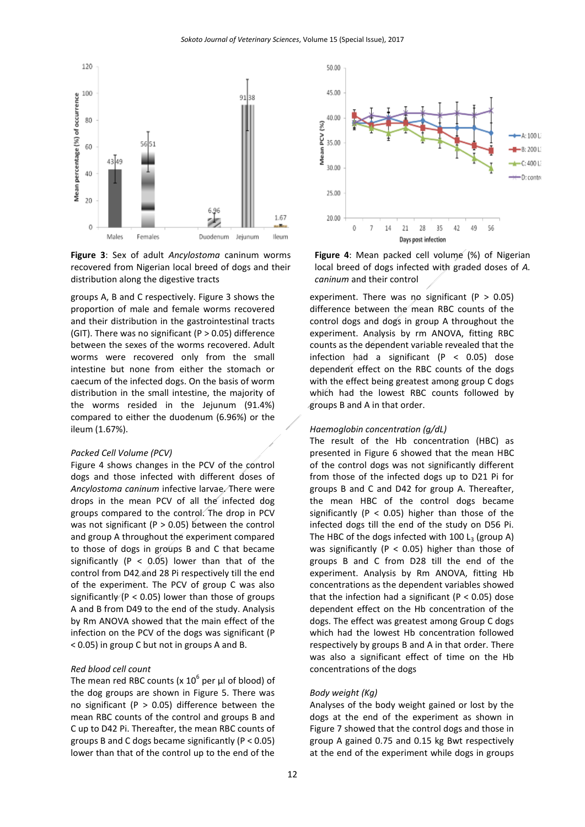

**Figure 3**: Sex of adult *Ancylostoma* caninum worms recovered from Nigerian local breed of dogs and their distribution along the digestive tracts

groups A, B and C respectively. Figure 3 shows the proportion of male and female worms recovered and their distribution in the gastrointestinal tracts (GIT). There was no significant (P  $> 0.05$ ) difference between the sexes of the worms recovered. Adult worms were recovered only from the small intestine but none from either the stomach or caecum of the infected dogs. On the basis of worm distribution in the small intestine, the majority of the worms resided in the Jejunum (91.4%) compared to either the duodenum (6.96%) or the ileum (1.67%).

#### *Packed Cell Volume (PCV)*

Figure 4 shows changes in the PCV of the control dogs and those infected with different doses of *Ancylostoma caninum* infective larvae. There were drops in the mean PCV of all the infected dog groups compared to the control. The drop in PCV was not significant ( $P > 0.05$ ) between the control and group A throughout the experiment compared to those of dogs in groups B and C that became significantly ( $P < 0.05$ ) lower than that of the control from D42 and 28 Pi respectively till the end of the experiment. The PCV of group C was also significantly ( $P < 0.05$ ) lower than those of groups A and B from D49 to the end of the study. Analysis by Rm ANOVA showed that the main effect of the infection on the PCV of the dogs was significant (P < 0.05) in group C but not in groups A and B.

#### *Red blood cell count*

The mean red RBC counts (x  $10^6$  per µl of blood) of the dog groups are shown in Figure 5. There was no significant ( $P > 0.05$ ) difference between the mean RBC counts of the control and groups B and C up to D42 Pi. Thereafter, the mean RBC counts of groups B and C dogs became significantly (P < 0.05) lower than that of the control up to the end of the



**Figure 4**: Mean packed cell volume (%) of Nigerian local breed of dogs infected with graded doses of *A. caninum* and their control

experiment. There was no significant ( $P > 0.05$ ) difference between the mean RBC counts of the control dogs and dogs in group A throughout the experiment. Analysis by rm ANOVA, fitting RBC counts as the dependent variable revealed that the infection had a significant (P < 0.05) dose dependent effect on the RBC counts of the dogs with the effect being greatest among group C dogs which had the lowest RBC counts followed by groups B and A in that order.

#### *Haemoglobin concentration (g/dL)*

The result of the Hb concentration (HBC) as presented in Figure 6 showed that the mean HBC of the control dogs was not significantly different from those of the infected dogs up to D21 Pi for groups B and C and D42 for group A. Thereafter, the mean HBC of the control dogs became significantly ( $P < 0.05$ ) higher than those of the infected dogs till the end of the study on D56 Pi. The HBC of the dogs infected with 100  $\mathsf{L}_3$  (group A) was significantly ( $P < 0.05$ ) higher than those of groups B and C from D28 till the end of the experiment. Analysis by Rm ANOVA, fitting Hb concentrations as the dependent variables showed that the infection had a significant ( $P < 0.05$ ) dose dependent effect on the Hb concentration of the dogs. The effect was greatest among Group C dogs which had the lowest Hb concentration followed respectively by groups B and A in that order. There was also a significant effect of time on the Hb concentrations of the dogs

#### *Body weight (Kg)*

Analyses of the body weight gained or lost by the dogs at the end of the experiment as shown in Figure 7 showed that the control dogs and those in group A gained 0.75 and 0.15 kg Bwt respectively at the end of the experiment while dogs in groups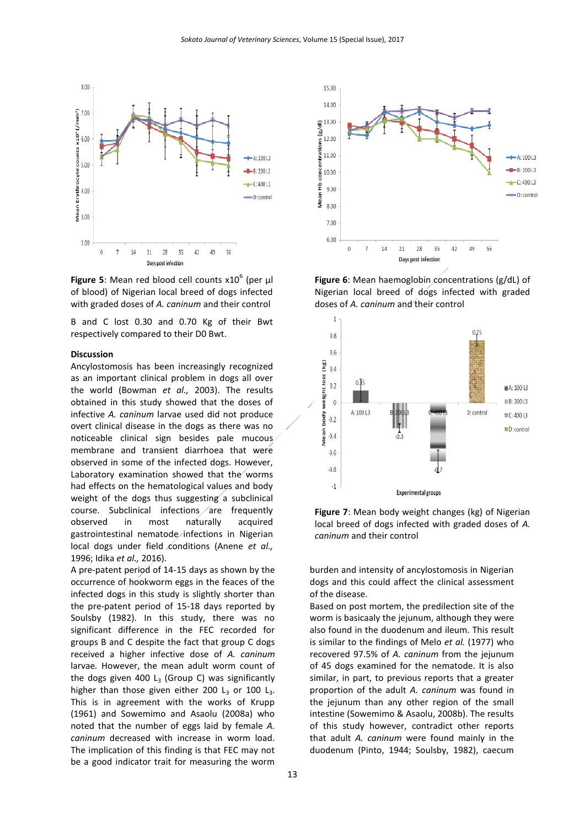

Figure 5: Mean red blood cell counts  $x10^6$  (per  $\mu$ l of blood) of Nigerian local breed of dogs infected with graded doses of *A. caninum* and their control

B and C lost 0.30 and 0.70 Kg of their Bwt respectively compared to their D0 Bwt.

#### **Discussion**

Ancylostomosis has been increasingly recognized as an important clinical problem in dogs all over the world (Bowman *et al.,* 2003). The results obtained in this study showed that the doses of infective *A. caninum* larvae used did not produce overt clinical disease in the dogs as there was no noticeable clinical sign besides pale mucous membrane and transient diarrhoea that were observed in some of the infected dogs. However, Laboratory examination showed that the worms had effects on the hematological values and body weight of the dogs thus suggesting a subclinical course. Subclinical infections  $/$  are frequently observed in most naturally acquired gastrointestinal nematode infections in Nigerian local dogs under field conditions (Anene *et al.,* 1996; Idika *et al.,* 2016).

A pre-patent period of 14-15 days as shown by the occurrence of hookworm eggs in the feaces of the infected dogs in this study is slightly shorter than the pre-patent period of 15-18 days reported by Soulsby (1982). In this study, there was no significant difference in the FEC recorded for groups B and C despite the fact that group C dogs received a higher infective dose of *A. caninum* larvae*.* However, the mean adult worm count of the dogs given 400  $L_3$  (Group C) was significantly higher than those given either 200  $L_3$  or 100  $L_3$ . This is in agreement with the works of Krupp (1961) and Sowemimo and Asaolu (2008a) who noted that the number of eggs laid by female *A. caninum* decreased with increase in worm load. The implication of this finding is that FEC may not be a good indicator trait for measuring the worm



**Figure 6**: Mean haemoglobin concentrations (g/dL) of Nigerian local breed of dogs infected with graded doses of *A. caninum* and their control





burden and intensity of ancylostomosis in Nigerian dogs and this could affect the clinical assessment of the disease.

Based on post mortem, the predilection site of the worm is basicaaly the jejunum, although they were also found in the duodenum and ileum. This result is similar to the findings of Melo *et al.* (1977) who recovered 97.5% of *A. caninum* from the jejunum of 45 dogs examined for the nematode. It is also similar, in part, to previous reports that a greater proportion of the adult *A. caninum* was found in the jejunum than any other region of the small intestine (Sowemimo & Asaolu, 2008b). The results of this study however, contradict other reports that adult *A. caninum* were found mainly in the duodenum (Pinto, 1944; Soulsby, 1982), caecum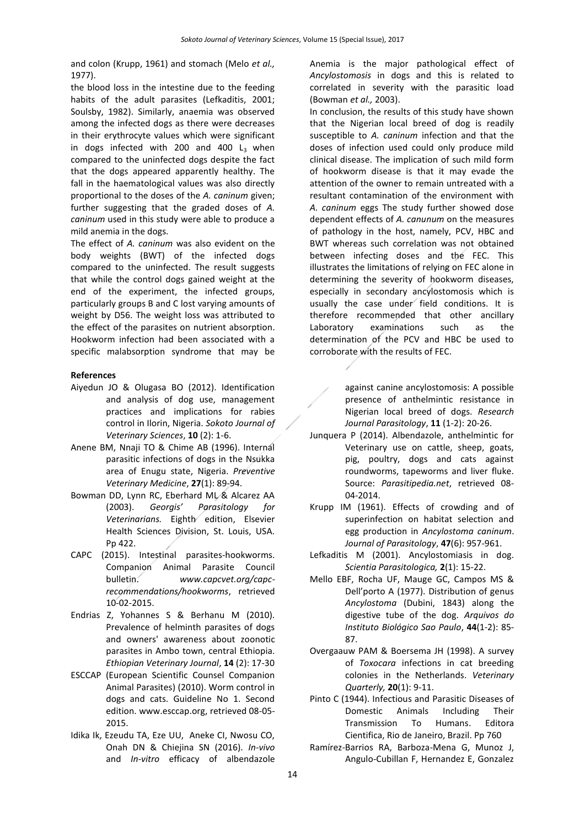and colon (Krupp, 1961) and stomach (Melo *et al.,* 1977).

the blood loss in the intestine due to the feeding habits of the adult parasites (Lefkaditis, 2001; Soulsby, 1982). Similarly, anaemia was observed among the infected dogs as there were decreases in their erythrocyte values which were significant in dogs infected with 200 and 400  $L<sub>3</sub>$  when compared to the uninfected dogs despite the fact that the dogs appeared apparently healthy. The fall in the haematological values was also directly proportional to the doses of the *A. caninum* given; further suggesting that the graded doses of *A. caninum* used in this study were able to produce a mild anemia in the dogs.

The effect of *A. caninum* was also evident on the body weights (BWT) of the infected dogs compared to the uninfected. The result suggests that while the control dogs gained weight at the end of the experiment, the infected groups, particularly groups B and C lost varying amounts of weight by D56. The weight loss was attributed to the effect of the parasites on nutrient absorption. Hookworm infection had been associated with a specific malabsorption syndrome that may be

## **References**

- Aiyedun JO & Olugasa BO (2012). Identification and analysis of dog use, management practices and implications for rabies control in Ilorin, Nigeria. *Sokoto Journal of Veterinary Sciences*, **10** (2): 1-6.
- Anene BM, Nnaji TO & Chime AB (1996). Internal parasitic infections of dogs in the Nsukka area of Enugu state, Nigeria. *Preventive Veterinary Medicine*, **27**(1): 89-94.
- Bowman DD, Lynn RC, Eberhard ML & Alcarez AA (2003). *Georgis' Parasitology for Veterinarians.* Eighth edition, Elsevier Health Sciences Division, St. Louis, USA. Pp 422.
- CAPC (2015). Intestinal parasites-hookworms. Companion Animal Parasite Council bulletin. *[www.capcvet.org/capc](http://www.capcvet.org/capc-recommendations/hookworms)[recommendations/hookworms](http://www.capcvet.org/capc-recommendations/hookworms)*, retrieved 10-02-2015.
- Endrias Z, Yohannes S & Berhanu M (2010). Prevalence of helminth parasites of dogs and owners' awareness about zoonotic parasites in Ambo town, central Ethiopia. *Ethiopian Veterinary Journal*, **14** (2): 17-30
- ESCCAP (European Scientific Counsel Companion Animal Parasites) (2010). Worm control in dogs and cats. Guideline No 1. Second edition[. www.esccap.org,](http://www.esccap.org/) retrieved 08-05- 2015.
- Idika Ik, Ezeudu TA, Eze UU, Aneke CI, Nwosu CO, Onah DN & Chiejina SN (2016). *In-vivo* and *In-vitro* efficacy of albendazole

Anemia is the major pathological effect of *Ancylostomosis* in dogs and this is related to correlated in severity with the parasitic load (Bowman *et al.,* 2003).

In conclusion, the results of this study have shown that the Nigerian local breed of dog is readily susceptible to *A. caninum* infection and that the doses of infection used could only produce mild clinical disease. The implication of such mild form of hookworm disease is that it may evade the attention of the owner to remain untreated with a resultant contamination of the environment with *A. caninum* eggs The study further showed dose dependent effects of *A. canunum* on the measures of pathology in the host, namely, PCV, HBC and BWT whereas such correlation was not obtained between infecting doses and the FEC. This illustrates the limitations of relying on FEC alone in determining the severity of hookworm diseases, especially in secondary ancylostomosis which is usually the case under field conditions. It is therefore recommended that other ancillary Laboratory examinations such as the determination of the PCV and HBC be used to corroborate with the results of FEC.

> against canine ancylostomosis: A possible presence of anthelmintic resistance in Nigerian local breed of dogs. *Research Journal Parasitology*, **11** (1-2): 20-26.

- Junquera P (2014). Albendazole, anthelmintic for Veterinary use on cattle, sheep, goats, pig, poultry, dogs and cats against roundworms, tapeworms and liver fluke. Source: *Parasitipedia.net*, retrieved 08- 04-2014.
- Krupp IM (1961). Effects of crowding and of superinfection on habitat selection and egg production in *Ancylostoma caninum*. *Journal of Parasitology*, **47**(6): 957-961.
- Lefkaditis M (2001). Ancylostomiasis in dog. *Scientia Parasitologica,* **2**(1): 15-22.
- Mello EBF, Rocha UF, Mauge GC, Campos MS & Dell'porto A (1977). Distribution of genus *Ancylostoma* (Dubini, 1843) along the digestive tube of the dog. *Arquivos do Instituto Biológico Sao Paulo*, **44**(1-2): 85- 87.
- Overgaauw PAM & Boersema JH (1998). A survey of *Toxocara* infections in cat breeding colonies in the Netherlands. *Veterinary Quarterly,* **20**(1): 9-11.
- Pinto C (1944). Infectious and Parasitic Diseases of Domestic Animals Including Their Transmission To Humans. Editora Cientifica, Rio de Janeiro, Brazil. Pp 760
- Ramírez-Barrios RA, Barboza-Mena G, Munoz J, Angulo-Cubillan F, Hernandez E, Gonzalez